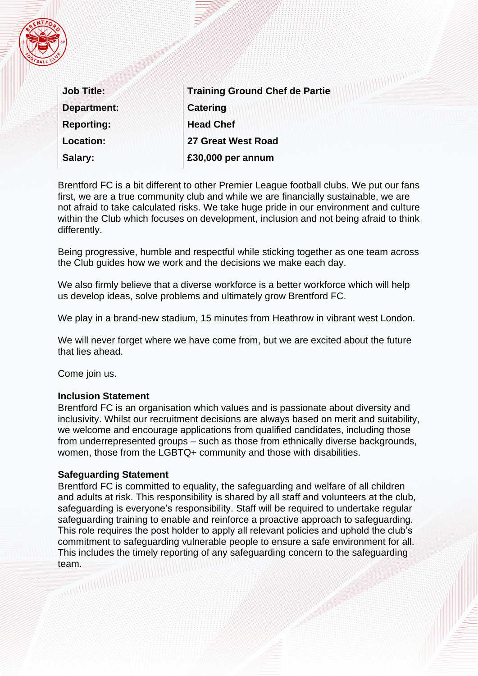

| <b>Job Title:</b>  | Training Ground Chef de Partie |
|--------------------|--------------------------------|
| <b>Department:</b> | <b>Catering</b>                |
| <b>Reporting:</b>  | <b>Head Chef</b>               |
| <b>Location:</b>   | 27 Great West Road             |
| Salary:            | £30,000 per annum              |

Brentford FC is a bit different to other Premier League football clubs. We put our fans first, we are a true community club and while we are financially sustainable, we are not afraid to take calculated risks. We take huge pride in our environment and culture within the Club which focuses on development, inclusion and not being afraid to think differently.

Being progressive, humble and respectful while sticking together as one team across the Club guides how we work and the decisions we make each day.

We also firmly believe that a diverse workforce is a better workforce which will help us develop ideas, solve problems and ultimately grow Brentford FC.

We play in a brand-new stadium, 15 minutes from Heathrow in vibrant west London.

We will never forget where we have come from, but we are excited about the future that lies ahead.

Come join us.

### **Inclusion Statement**

Brentford FC is an organisation which values and is passionate about diversity and inclusivity. Whilst our recruitment decisions are always based on merit and suitability, we welcome and encourage applications from qualified candidates, including those from underrepresented groups – such as those from ethnically diverse backgrounds, women, those from the LGBTQ+ community and those with disabilities.

### **Safeguarding Statement**

Brentford FC is committed to equality, the safeguarding and welfare of all children and adults at risk. This responsibility is shared by all staff and volunteers at the club, safeguarding is everyone's responsibility. Staff will be required to undertake regular safeguarding training to enable and reinforce a proactive approach to safeguarding. This role requires the post holder to apply all relevant policies and uphold the club's commitment to safeguarding vulnerable people to ensure a safe environment for all. This includes the timely reporting of any safeguarding concern to the safeguarding team.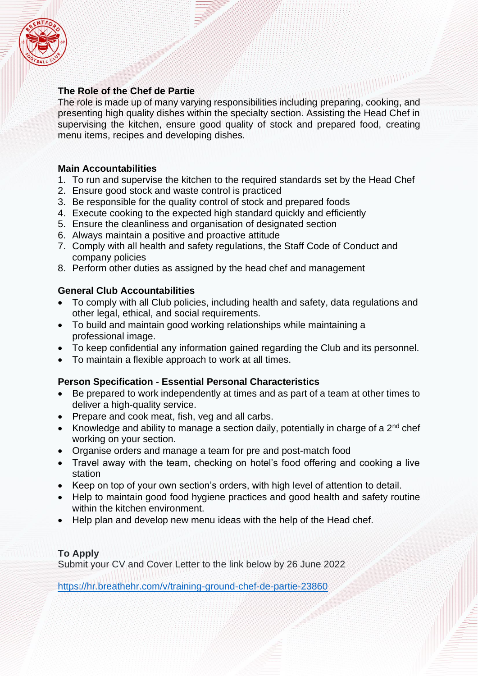

# **The Role of the Chef de Partie**

The role is made up of many varying responsibilities including preparing, cooking, and presenting high quality dishes within the specialty section. Assisting the Head Chef in supervising the kitchen, ensure good quality of stock and prepared food, creating menu items, recipes and developing dishes.

*<u>UIIIIIIIIIII</u>* 

## **Main Accountabilities**

- 1. To run and supervise the kitchen to the required standards set by the Head Chef
- 2. Ensure good stock and waste control is practiced
- 3. Be responsible for the quality control of stock and prepared foods
- 4. Execute cooking to the expected high standard quickly and efficiently
- 5. Ensure the cleanliness and organisation of designated section
- 6. Always maintain a positive and proactive attitude
- 7. Comply with all health and safety regulations, the Staff Code of Conduct and company policies
- 8. Perform other duties as assigned by the head chef and management

## **General Club Accountabilities**

- To comply with all Club policies, including health and safety, data regulations and other legal, ethical, and social requirements.
- To build and maintain good working relationships while maintaining a professional image.
- To keep confidential any information gained regarding the Club and its personnel.
- To maintain a flexible approach to work at all times.

## **Person Specification - Essential Personal Characteristics**

- Be prepared to work independently at times and as part of a team at other times to deliver a high-quality service.
- Prepare and cook meat, fish, veg and all carbs.
- Knowledge and ability to manage a section daily, potentially in charge of a  $2^{nd}$  chef working on your section.
- Organise orders and manage a team for pre and post-match food
- Travel away with the team, checking on hotel's food offering and cooking a live station
- Keep on top of your own section's orders, with high level of attention to detail.
- Help to maintain good food hygiene practices and good health and safety routine within the kitchen environment.
- Help plan and develop new menu ideas with the help of the Head chef.

## **To Apply**

Submit your CV and Cover Letter to the link below by 26 June 2022

<https://hr.breathehr.com/v/training-ground-chef-de-partie-23860>